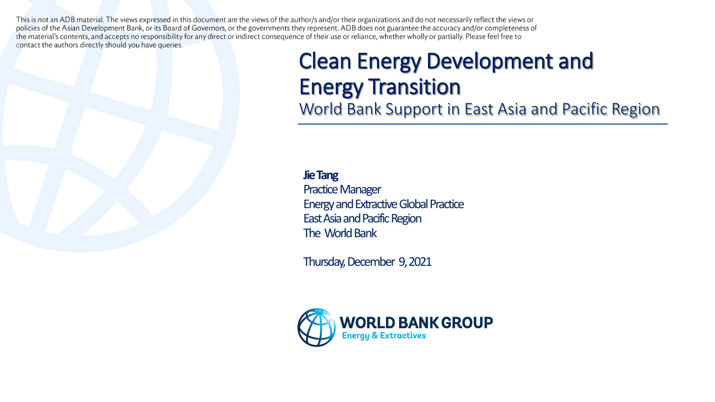This is not an ADB material. The views expressed in this document are the views of the author/s and/or their organizations and do not necessarily reflect the views or policies of the Asian Development Bank, or its Board of Governors, or the governments they represent. ADB does not guarantee the accuracy and/or completeness of the material's contents, and accepts no responsibility for any direct or indirect consequence of their use or reliance, whether wholly or partially. Please feel free to contact the authors directly should you have queries.

# Clean Energy Development and Energy Transition

World Bank Support in East Asia and Pacific Region

**Jie Tang** Practice Manager Energy and Extractive Global Practice East Asia and Pacific Region The World Bank

Thursday, December 9, 2021

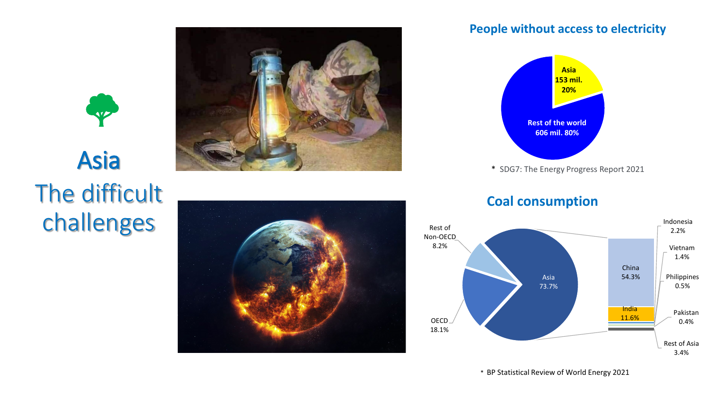# Asia The difficult challenges





#### **People without access to electricity**



**Coal consumption**



\* BP Statistical Review of World Energy 2021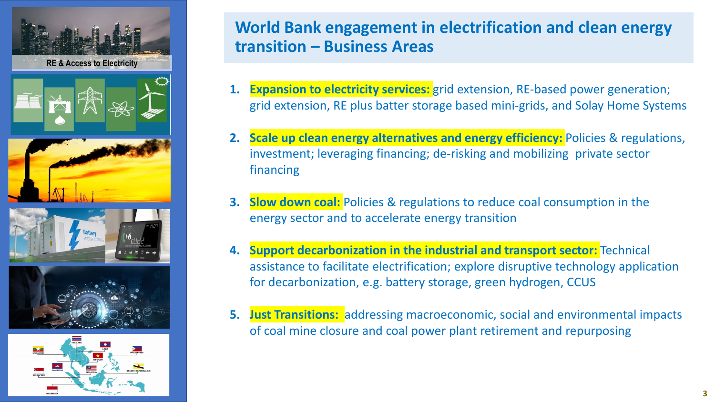



### **World Bank engagement in electrification and clean energy transition – Business Areas**

- **1. Expansion to electricity services:** grid extension, RE-based power generation; grid extension, RE plus batter storage based mini-grids, and Solay Home Systems
- **2. Scale up clean energy alternatives and energy efficiency:** Policies & regulations, investment; leveraging financing; de-risking and mobilizing private sector financing
- **3. Slow down coal:** Policies & regulations to reduce coal consumption in the energy sector and to accelerate energy transition
- **4. Support decarbonization in the industrial and transport sector:** Technical assistance to facilitate electrification; explore disruptive technology application for decarbonization, e.g. battery storage, green hydrogen, CCUS
- **5. Just Transitions:** addressing macroeconomic, social and environmental impacts of coal mine closure and coal power plant retirement and repurposing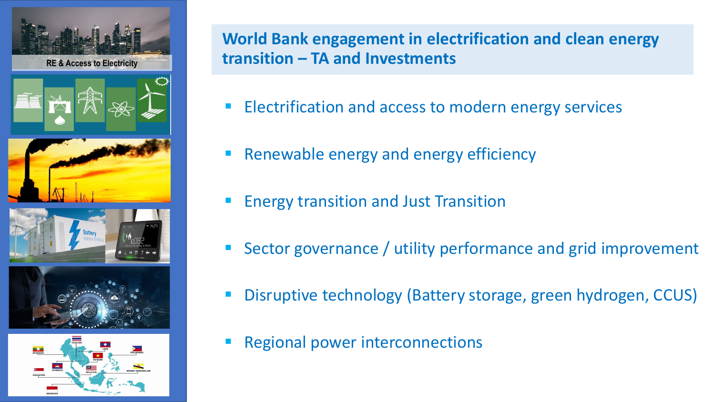



**World Bank engagement in electrification and clean energy transition – TA and Investments**

- **Electrification and access to modern energy services**
- **Renewable energy and energy efficiency**
- Energy transition and Just Transition
- Sector governance / utility performance and grid improvement
- Disruptive technology (Battery storage, green hydrogen, CCUS)
- Regional power interconnections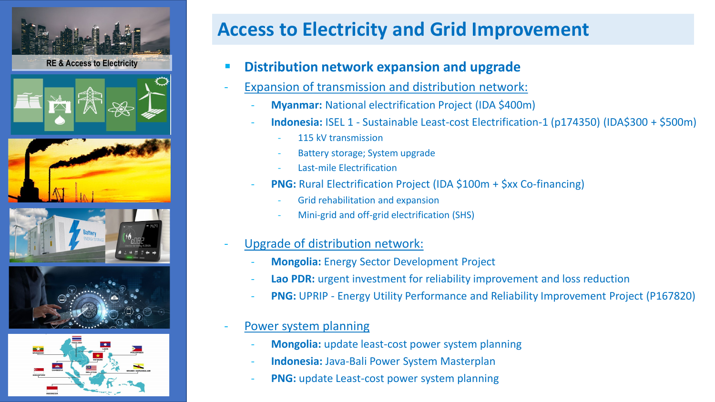











## **Access to Electricity and Grid Improvement**

- **RE & Access to Electricity <b>Expansion RE & Access to Electricity and upgrade** 
	- Expansion of transmission and distribution network:
		- **Myanmar:** National electrification Project (IDA \$400m)
		- **Indonesia:** ISEL 1 Sustainable Least-cost Electrification-1 (p174350) (IDA\$300 + \$500m)
			- 115 kV transmission
			- Battery storage; System upgrade
			- Last-mile Electrification
		- **PNG:** Rural Electrification Project (IDA \$100m + \$xx Co-financing)
			- Grid rehabilitation and expansion
			- Mini-grid and off-grid electrification (SHS)
	- Upgrade of distribution network:
		- **Mongolia:** Energy Sector Development Project
		- **Lao PDR:** urgent investment for reliability improvement and loss reduction
		- **PNG:** UPRIP Energy Utility Performance and Reliability Improvement Project (P167820)

#### Power system planning

- **Mongolia:** update least-cost power system planning
- **Indonesia:** Java-Bali Power System Masterplan
- **PNG:** update Least-cost power system planning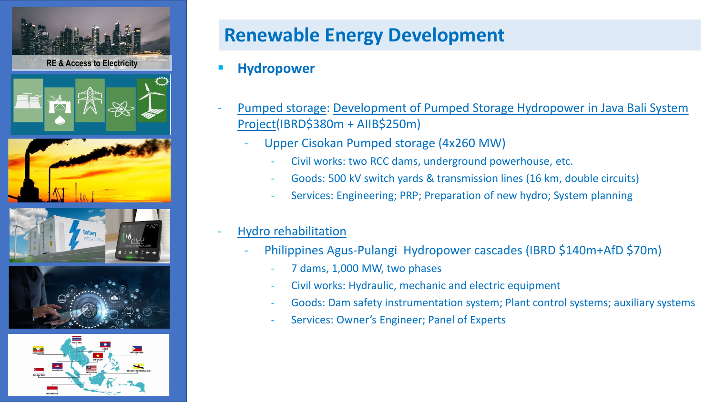











## **Renewable Energy Development**

- 
- [Pumped storage: Development of Pumped Storage Hydropower in Java Bali System](https://projects.worldbank.org/en/projects-operations/project-detail/P172256)  Project(IBRD\$380m + AIIB\$250m)
	- Upper Cisokan Pumped storage (4x260 MW)
		- Civil works: two RCC dams, underground powerhouse, etc.
		- Goods: 500 kV switch yards & transmission lines (16 km, double circuits)
		- Services: Engineering; PRP; Preparation of new hydro; System planning
	- Hydro rehabilitation
		- Philippines Agus-Pulangi Hydropower cascades (IBRD \$140m+AfD \$70m)
			- 7 dams, 1,000 MW, two phases
			- Civil works: Hydraulic, mechanic and electric equipment
			- Goods: Dam safety instrumentation system; Plant control systems; auxiliary systems
			- Services: Owner's Engineer; Panel of Experts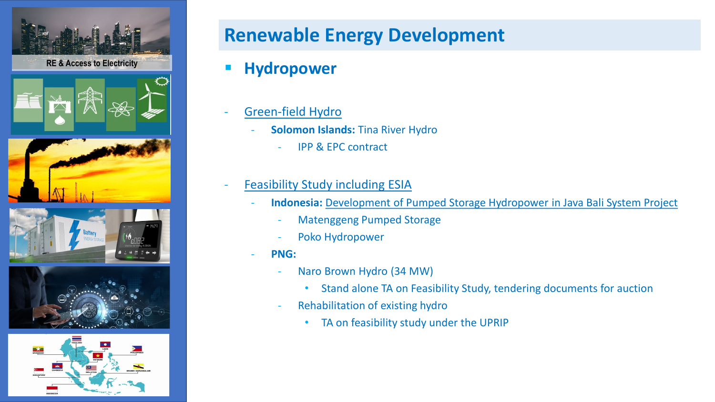











## **Renewable Energy Development**

- - Green-field Hydro
		- **Solomon Islands:** Tina River Hydro
			- IPP & EPC contract
	- **Feasibility Study including ESIA** 
		- **Indonesia:** [Development of Pumped Storage Hydropower in Java Bali System Project](https://projects.worldbank.org/en/projects-operations/project-detail/P172256)
			- Matenggeng Pumped Storage
			- Poko Hydropower
		- **PNG:**
			- Naro Brown Hydro (34 MW)
				- Stand alone TA on Feasibility Study, tendering documents for auction
			- Rehabilitation of existing hydro
				- TA on feasibility study under the UPRIP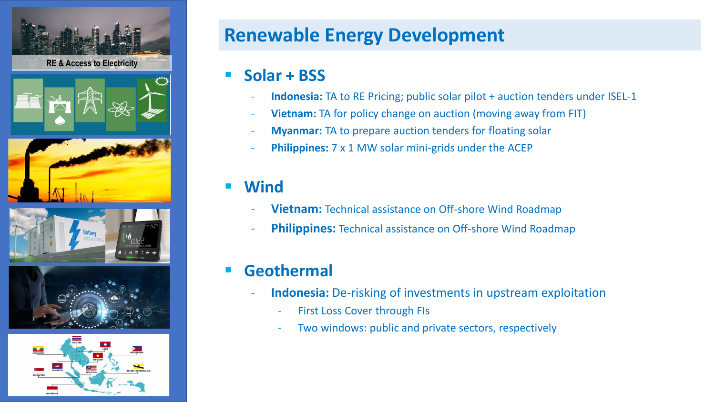











## **Renewable Energy Development**

#### **Solar + BSS**

- **Indonesia:** TA to RE Pricing; public solar pilot + auction tenders under ISEL-1
- **Vietnam:** TA for policy change on auction (moving away from FIT)
- **Myanmar:** TA to prepare auction tenders for floating solar
- Philippines:  $7 \times 1$  MW solar mini-grids under the ACEP

#### **Wind**

- **Vietnam:** Technical assistance on Off-shore Wind Roadmap
- **Philippines:** Technical assistance on Off-shore Wind Roadmap

### **Geothermal**

- **Indonesia:** De-risking of investments in upstream exploitation
	- First Loss Cover through FIs
	- Two windows: public and private sectors, respectively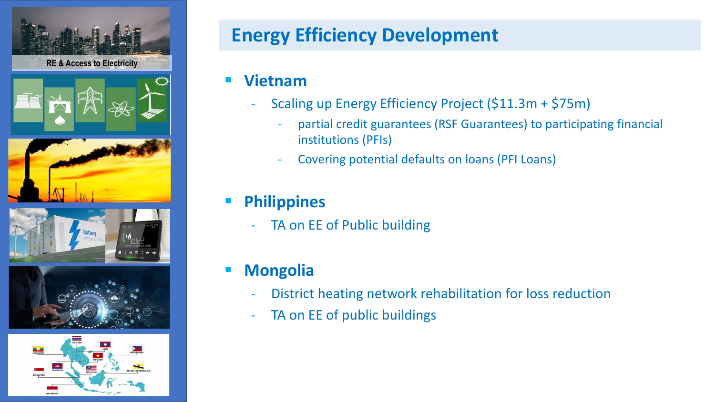











## **Energy Efficiency Development**

**Vietnam**

- Scaling up Energy Efficiency Project (\$11.3m + \$75m)
	- partial credit guarantees (RSF Guarantees) to participating financial institutions (PFIs)
	- Covering potential defaults on loans (PFI Loans)

**Philippines**

- TA on EE of Public building
- **Mongolia** 
	- District heating network rehabilitation for loss reduction
	- TA on EE of public buildings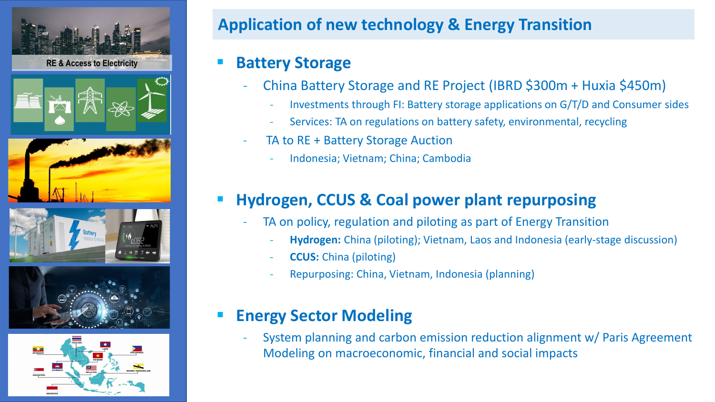











### **Application of new technology & Energy Transition**

### **RE & Access to Electricity <b>Battery Storage**

- China Battery Storage and RE Project (IBRD \$300m + Huxia \$450m)
	- Investments through FI: Battery storage applications on G/T/D and Consumer sides
	- Services: TA on regulations on battery safety, environmental, recycling
	- TA to RE + Battery Storage Auction
		- Indonesia; Vietnam; China; Cambodia

## **Hydrogen, CCUS & Coal power plant repurposing**

- TA on policy, regulation and piloting as part of Energy Transition
	- **Hydrogen:** China (piloting); Vietnam, Laos and Indonesia (early-stage discussion)
	- **CCUS:** China (piloting)
	- Repurposing: China, Vietnam, Indonesia (planning)

#### **Energy Sector Modeling**

- System planning and carbon emission reduction alignment w/ Paris Agreement Modeling on macroeconomic, financial and social impacts